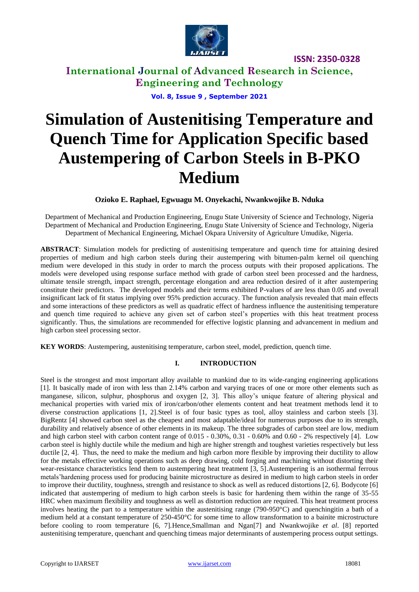

**International Journal of Advanced Research in Science, Engineering and Technology**

**Vol. 8, Issue 9 , September 2021**

# **Simulation of Austenitising Temperature and Quench Time for Application Specific based Austempering of Carbon Steels in B-PKO Medium**

## **Ozioko E. Raphael, Egwuagu M. Onyekachi, Nwankwojike B. Nduka**

Department of Mechanical and Production Engineering, Enugu State University of Science and Technology, Nigeria Department of Mechanical and Production Engineering, Enugu State University of Science and Technology, Nigeria Department of Mechanical Engineering, Michael Okpara University of Agriculture Umudike, Nigeria.

**ABSTRACT**: Simulation models for predicting of austenitising temperature and quench time for attaining desired properties of medium and high carbon steels during their austempering with bitumen-palm kernel oil quenching medium were developed in this study in order to march the process outputs with their proposed applications. The models were developed using response surface method with grade of carbon steel been processed and the hardness, ultimate tensile strength, impact strength, percentage elongation and area reduction desired of it after austempering constitute their predictors. The developed models and their terms exhibited P-values of are less than 0.05 and overall insignificant lack of fit status implying over 95% prediction accuracy. The function analysis revealed that main effects and some interactions of these predictors as well as quadratic effect of hardness influence the austenitising temperature and quench time required to achieve any given set of carbon steel's properties with this heat treatment process significantly. Thus, the simulations are recommended for effective logistic planning and advancement in medium and high carbon steel processing sector.

**KEY WORDS**: Austempering, austenitising temperature, carbon steel, model, prediction, quench time.

## **I. INTRODUCTION**

Steel is the strongest and most important alloy available to mankind due to its wide-ranging engineering applications [1]. It basically made of iron with less than 2.14% carbon and varying traces of one or more other elements such as manganese, silicon, sulphur, phosphorus and oxygen [2, 3]. This alloy's unique feature of altering physical and mechanical properties with varied mix of iron/carbon/other elements content and heat treatment methods lend it to diverse construction applications [1, 2].Steel is of four basic types as tool, alloy stainless and carbon steels [3]. BigRentz [4] showed carbon steel as the cheapest and most adaptable/ideal for numerous purposes due to its strength, durability and relatively absence of other elements in its makeup. The three subgrades of carbon steel are low, medium and high carbon steel with carbon content range of  $0.015 - 0.30\%$ ,  $0.31 - 0.60\%$  and  $0.60 - 2\%$  respectively [4]. Low carbon steel is highly ductile while the medium and high are higher strength and toughest varieties respectively but less ductile  $[2, 4]$ . Thus, the need to make the medium and high carbon more flexible by improving their ductility to allow for the metals effective working operations such as deep drawing, cold forging and machining without distorting their wear-resistance characteristics lend them to austempering heat treatment [3, 5].Austempering is an isothermal ferrous metals'hardening process used for producing bainite microstructure as desired in medium to high carbon steels in order to improve their ductility, toughness, strength and resistance to shock as well as reduced distortions [2, 6]. Bodycote [6] indicated that austempering of medium to high carbon steels is basic for hardening them within the range of 35-55 HRC when maximum flexibility and toughness as well as distortion reduction are required. This heat treatment process involves heating the part to a temperature within the austenitising range (790-950°C) and quenchingitin a bath of a medium held at a constant temperature of 250-450°C for some time to allow transformation to a bainite microstructure before cooling to room temperature [6, 7].Henc[e,Smallman](https://www.sciencedirect.com/science/article/pii/B9780080982045000146#!) and [Ngan\[](https://www.sciencedirect.com/science/article/pii/B9780080982045000146#!)7] and Nwankwojike *et al*. [8] reported austenitising temperature, quenchant and quenching timeas major determinants of austempering process output settings.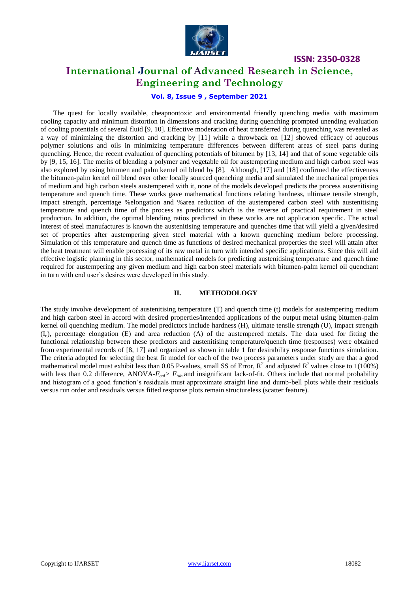

# **International Journal of Advanced Research in Science, Engineering and Technology**

# **Vol. 8, Issue 9 , September 2021**

The quest for locally available, cheapnontoxic and environmental friendly quenching media with maximum cooling capacity and minimum distortion in dimensions and cracking during quenching prompted unending evaluation of cooling potentials of several fluid [9, 10]. Effective moderation of heat transferred during quenching was revealed as a way of minimizing the distortion and cracking by [11] while a throwback on [12] showed efficacy of aqueous polymer solutions and oils in minimizing temperature differences between different areas of steel parts during quenching. Hence, the recent evaluation of quenching potentials of bitumen by [13, 14] and that of some vegetable oils by [9, 15, 16]. The merits of blending a polymer and vegetable oil for austempering medium and high carbon steel was also explored by using bitumen and palm kernel oil blend by [8]. Although, [17] and [18] confirmed the effectiveness the bitumen-palm kernel oil blend over other locally sourced quenching media and simulated the mechanical properties of medium and high carbon steels austempered with it, none of the models developed predicts the process austenitising temperature and quench time. These works gave mathematical functions relating hardness, ultimate tensile strength, impact strength, percentage %elongation and %area reduction of the austempered carbon steel with austenitising temperature and quench time of the process as predictors which is the reverse of practical requirement in steel production. In addition, the optimal blending ratios predicted in these works are not application specific. The actual interest of steel manufactures is known the austenitising temperature and quenches time that will yield a given/desired set of properties after austempering given steel material with a known quenching medium before processing. Simulation of this temperature and quench time as functions of desired mechanical properties the steel will attain after the heat treatment will enable processing of its raw metal in turn with intended specific applications. Since this will aid effective logistic planning in this sector, mathematical models for predicting austenitising temperature and quench time required for austempering any given medium and high carbon steel materials with bitumen-palm kernel oil quenchant in turn with end user's desires were developed in this study.

#### **II. METHODOLOGY**

The study involve development of austenitising temperature (T) and quench time (t) models for austempering medium and high carbon steel in accord with desired properties/intended applications of the output metal using bitumen-palm kernel oil quenching medium. The model predictors include hardness (H), ultimate tensile strength (U), impact strength  $(I_e)$ , percentage elongation (E) and area reduction (A) of the austempered metals. The data used for fitting the functional relationship between these predictors and austenitising temperature/quench time (responses) were obtained from experimental records of [8, 17] and organized as shown in table 1 for desirability response functions simulation. The criteria adopted for selecting the best fit model for each of the two process parameters under study are that a good mathematical model must exhibit less than 0.05 P-values, small SS of Error,  $R^2$  and adjusted  $R^2$  values close to 1(100%) with less than 0.2 difference, ANOVA- $F_{cal} > F_{tab}$  and insignificant lack-of-fit. Others include that normal probability and histogram of a good function's residuals must approximate straight line and dumb-bell plots while their residuals versus run order and residuals versus fitted response plots remain structureless (scatter feature).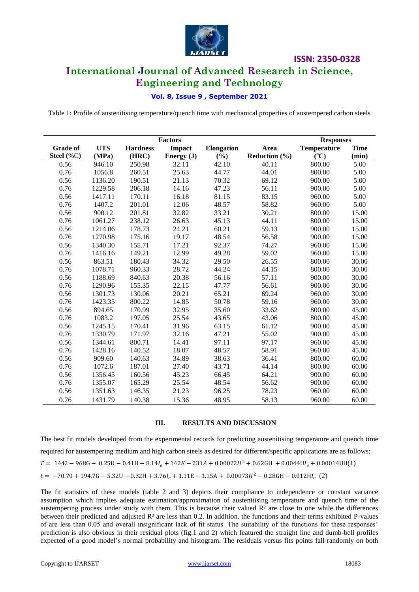

# **International Journal of Advanced Research in Science, Engineering and Technology**

# **Vol. 8, Issue 9 , September 2021**

Table 1: Profile of austenitising temperature/quench time with mechanical properties of austempered carbon steels

|                 |            |                 | <b>Factors</b>              |       | <b>Responses</b>  |                    |             |  |
|-----------------|------------|-----------------|-----------------------------|-------|-------------------|--------------------|-------------|--|
| <b>Grade of</b> | <b>UTS</b> | <b>Hardness</b> | Impact<br><b>Elongation</b> |       | Area              | <b>Temperature</b> | <b>Time</b> |  |
| Steel (%C)      | (MPa)      | (HRC)           | Energy $(J)$                | (%)   | Reduction $(\% )$ | $(^{\circ}C)$      | (min)       |  |
| 0.56            | 946.10     | 250.98          | 32.11                       | 42.10 | 40.11             | 800.00             | 5.00        |  |
| 0.76            | 1056.8     | 260.51          | 25.63                       | 44.77 | 44.01             | 800.00             | 5.00        |  |
| 0.56            | 1136.20    | 190.51          | 21.13                       | 70.32 | 69.12             | 900.00             | 5.00        |  |
| 0.76            | 1229.58    | 206.18          | 14.16                       | 47.23 | 56.11             | 900.00             | 5.00        |  |
| 0.56            | 1417.11    | 170.11          | 16.18                       | 81.15 | 83.15             | 960.00             | 5.00        |  |
| 0.76            | 1407.2     | 201.01          | 12.06                       | 48.57 | 58.82             | 960.00             | 5.00        |  |
| 0.56            | 900.12     | 201.81          | 32.82                       | 33.21 | 30.21             | 800.00             | 15.00       |  |
| 0.76            | 1061.27    | 238.12          | 26.63                       | 45.13 | 44.11             | 800.00             | 15.00       |  |
| 0.56            | 1214.06    | 178.73          | 24.21                       | 60.21 | 59.13             | 900.00             | 15.00       |  |
| 0.76            | 1270.98    | 175.16          | 19.17                       | 48.54 | 56.58             | 900.00             | 15.00       |  |
| 0.56            | 1340.30    | 155.71          | 17.21                       | 92.37 | 74.27             | 960.00             | 15.00       |  |
| 0.76            | 1416.16    | 149.21          | 12.99                       | 49.28 | 59.02             | 960.00             | 15.00       |  |
| 0.56            | 863.51     | 180.43          | 34.32                       | 29.50 | 26.55             | 800.00             | 30.00       |  |
| 0.76            | 1078.71    | 960.33          | 28.72                       | 44.24 | 44.15             | 800.00             | 30.00       |  |
| 0.56            | 1188.69    | 840.63          | 20.38                       | 56.16 | 57.11             | 900.00             | 30.00       |  |
| 0.76            | 1290.96    | 155.35          | 22.15                       | 47.77 | 56.61             | 900.00             | 30.00       |  |
| 0.56            | 1301.73    | 130.06          | 20.21                       | 65.21 | 69.24             | 960.00             | 30.00       |  |
| 0.76            | 1423.35    | 800.22          | 14.85                       | 50.78 | 59.16             | 960.00             | 30.00       |  |
| 0.56            | 894.65     | 170.99          | 32.95                       | 35.60 | 33.62             | 800.00             | 45.00       |  |
| 0.76            | 1083.2     | 197.05          | 25.54                       | 43.65 | 43.06             | 800.00             | 45.00       |  |
| 0.56            | 1245.15    | 170.41          | 31.96                       | 63.15 | 61.12             | 900.00             | 45.00       |  |
| 0.76            | 1330.79    | 171.97          | 32.16                       | 47.21 | 55.02             | 900.00             | 45.00       |  |
| 0.56            | 1344.61    | 800.71          | 14.41                       | 97.11 | 97.17             | 960.00             | 45.00       |  |
| 0.76            | 1428.16    | 140.52          | 18.07                       | 48.57 | 58.91             | 960.00             | 45.00       |  |
| 0.56            | 909.60     | 140.63          | 34.89                       | 38.63 | 36.41             | 800.00             | 60.00       |  |
| 0.76            | 1072.6     | 187.01          | 27.40                       | 43.71 | 44.14             | 800.00             | 60.00       |  |
| 0.56            | 1356.45    | 160.56          | 45.23                       | 66.45 | 64.21             | 900.00             | 60.00       |  |
| 0.76            | 1355.07    | 165.29          | 25.54                       | 48.54 | 56.62             | 900.00             | 60.00       |  |
| 0.56            | 1351.63    | 146.35          | 21.23                       | 96.25 | 78.23             | 960.00             | 60.00       |  |
| 0.76            | 1431.79    | 140.38          | 15.36                       | 48.95 | 58.13             | 960.00             | 60.00       |  |

## **III. RESULTS AND DISCUSSION**

The best fit models developed from the experimental records for predicting austenitising temperature and quench time required for austempering medium and high carbon steels as desired for different/specific applications are as follows;  $T = 1442 - 968G - 0.25U - 0.41H - 8.14I<sub>e</sub> + 142E - 231A + 0.00022H<sup>2</sup> + 0.62GH + 0.0044UI<sub>e</sub> + 0.00014UH(1)$  $t = -70.70 + 194.7G - 5.32U - 0.32H + 3.76I_e + 1.11E - 1.15A + 0.00073H^2 - 0.28GH - 0.012HI_e$  (2)

The fit statistics of these models (table 2 and 3) depicts their compliance to independence or constant variance assumption which implies adequate estimation/approximation of austenitising temperature and quench time of the austempering process under study with them. This is because their valued  $R<sup>2</sup>$  are close to one while the differences between their predicted and adjusted  $\mathbb{R}^2$  are less than 0.2. In addition, the functions and their terms exhibited P-values of are less than 0.05 and overall insignificant lack of fit status. The suitability of the functions for these responses' prediction is also obvious in their residual plots (fig.1 and 2) which featured the straight line and dumb-bell profiles expected of a good model's normal probability and histogram. The residuals versus fits points fall randomly on both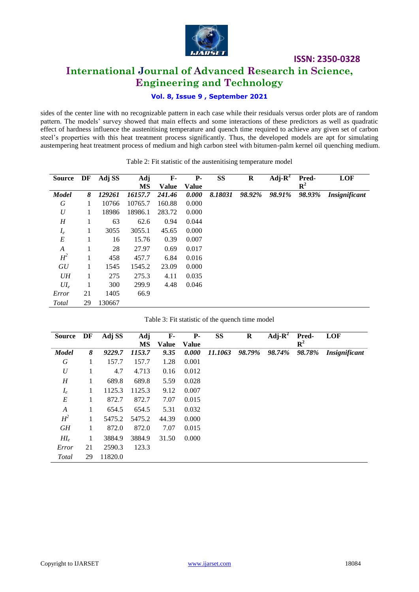

# **International Journal of Advanced Research in Science, Engineering and Technology**

# **Vol. 8, Issue 9 , September 2021**

sides of the center line with no recognizable pattern in each case while their residuals versus order plots are of random pattern. The models' survey showed that main effects and some interactions of these predictors as well as quadratic effect of hardness influence the austenitising temperature and quench time required to achieve any given set of carbon steel's properties with this heat treatment process significantly. Thus, the developed models are apt for simulating austempering heat treatment process of medium and high carbon steel with bitumen-palm kernel oil quenching medium.

| <b>Source</b>    | DF | Adj SS | <b>Adj</b> | $\mathbf{F}$ | <b>P-</b>    | <b>SS</b> | $\bf R$ | Adj- $\mathbf{R}^2$ | Pred-       | <b>LOF</b>           |
|------------------|----|--------|------------|--------------|--------------|-----------|---------|---------------------|-------------|----------------------|
|                  |    |        | MS         | <b>Value</b> | <b>Value</b> |           |         |                     | ${\bf R}^2$ |                      |
| <b>Model</b>     | 8  | 129261 | 16157.7    | 241.46       | 0.000        | 8.18031   | 98.92%  | 98.91%              | 98.93%      | <b>Insignificant</b> |
| G                | 1  | 10766  | 10765.7    | 160.88       | 0.000        |           |         |                     |             |                      |
| $\boldsymbol{U}$ | 1  | 18986  | 18986.1    | 283.72       | 0.000        |           |         |                     |             |                      |
| H                |    | 63     | 62.6       | 0.94         | 0.044        |           |         |                     |             |                      |
| $I_e$            | 1  | 3055   | 3055.1     | 45.65        | 0.000        |           |         |                     |             |                      |
| E                | 1  | 16     | 15.76      | 0.39         | 0.007        |           |         |                     |             |                      |
| A                |    | 28     | 27.97      | 0.69         | 0.017        |           |         |                     |             |                      |
| $H^2$            | 1  | 458    | 457.7      | 6.84         | 0.016        |           |         |                     |             |                      |
| GU               |    | 1545   | 1545.2     | 23.09        | 0.000        |           |         |                     |             |                      |
| UH               | 1  | 275    | 275.3      | 4.11         | 0.035        |           |         |                     |             |                      |
| $UI_e$           | 1  | 300    | 299.9      | 4.48         | 0.046        |           |         |                     |             |                      |
| Error            | 21 | 1405   | 66.9       |              |              |           |         |                     |             |                      |
| Total            | 29 | 130667 |            |              |              |           |         |                     |             |                      |

#### Table 2: Fit statistic of the austenitising temperature model

|  | Table 3: Fit statistic of the quench time model |  |  |  |
|--|-------------------------------------------------|--|--|--|
|--|-------------------------------------------------|--|--|--|

| <b>Source</b>    | DF | Adj SS  | <b>Adj</b> | $\mathbf{F}$ | <b>P</b> -   | SS      | $\bf R$ | Adj- $\mathbf{R}^2$ | Pred-       | <b>LOF</b>           |
|------------------|----|---------|------------|--------------|--------------|---------|---------|---------------------|-------------|----------------------|
|                  |    |         | MS         | Value        | <b>Value</b> |         |         |                     | ${\bf R}^2$ |                      |
| <b>Model</b>     | 8  | 9229.7  | 1153.7     | 9.35         | 0.000        | 11.1063 | 98.79%  | 98.74%              | 98.78%      | <b>Insignificant</b> |
| G                | 1  | 157.7   | 157.7      | 1.28         | 0.001        |         |         |                     |             |                      |
| $\boldsymbol{U}$ | 1  | 4.7     | 4.713      | 0.16         | 0.012        |         |         |                     |             |                      |
| H                | 1  | 689.8   | 689.8      | 5.59         | 0.028        |         |         |                     |             |                      |
| $I_e$            | 1  | 1125.3  | 1125.3     | 9.12         | 0.007        |         |         |                     |             |                      |
| E                | 1  | 872.7   | 872.7      | 7.07         | 0.015        |         |         |                     |             |                      |
| A                | 1  | 654.5   | 654.5      | 5.31         | 0.032        |         |         |                     |             |                      |
| $H^2$            | 1  | 5475.2  | 5475.2     | 44.39        | 0.000        |         |         |                     |             |                      |
| GH               | 1  | 872.0   | 872.0      | 7.07         | 0.015        |         |         |                     |             |                      |
| $H I_e$          | 1  | 3884.9  | 3884.9     | 31.50        | 0.000        |         |         |                     |             |                      |
| Error            | 21 | 2590.3  | 123.3      |              |              |         |         |                     |             |                      |
| Total            | 29 | 11820.0 |            |              |              |         |         |                     |             |                      |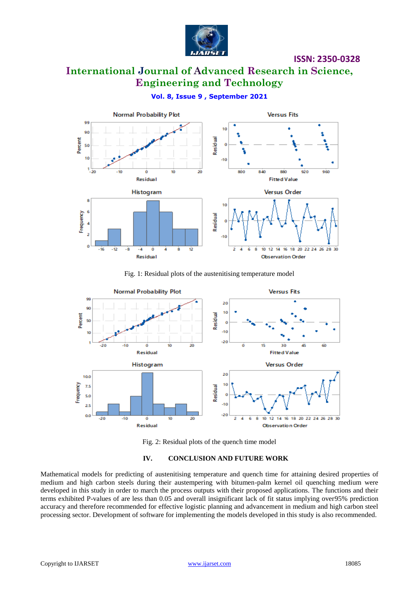

**International Journal of Advanced Research in Science, Engineering and Technology**

# **Vol. 8, Issue 9 , September 2021**



Fig. 1: Residual plots of the austenitising temperature model



Fig. 2: Residual plots of the quench time model

## **IV. CONCLUSION AND FUTURE WORK**

Mathematical models for predicting of austenitising temperature and quench time for attaining desired properties of medium and high carbon steels during their austempering with bitumen-palm kernel oil quenching medium were developed in this study in order to march the process outputs with their proposed applications. The functions and their terms exhibited P-values of are less than 0.05 and overall insignificant lack of fit status implying over95% prediction accuracy and therefore recommended for effective logistic planning and advancement in medium and high carbon steel processing sector. Development of software for implementing the models developed in this study is also recommended.